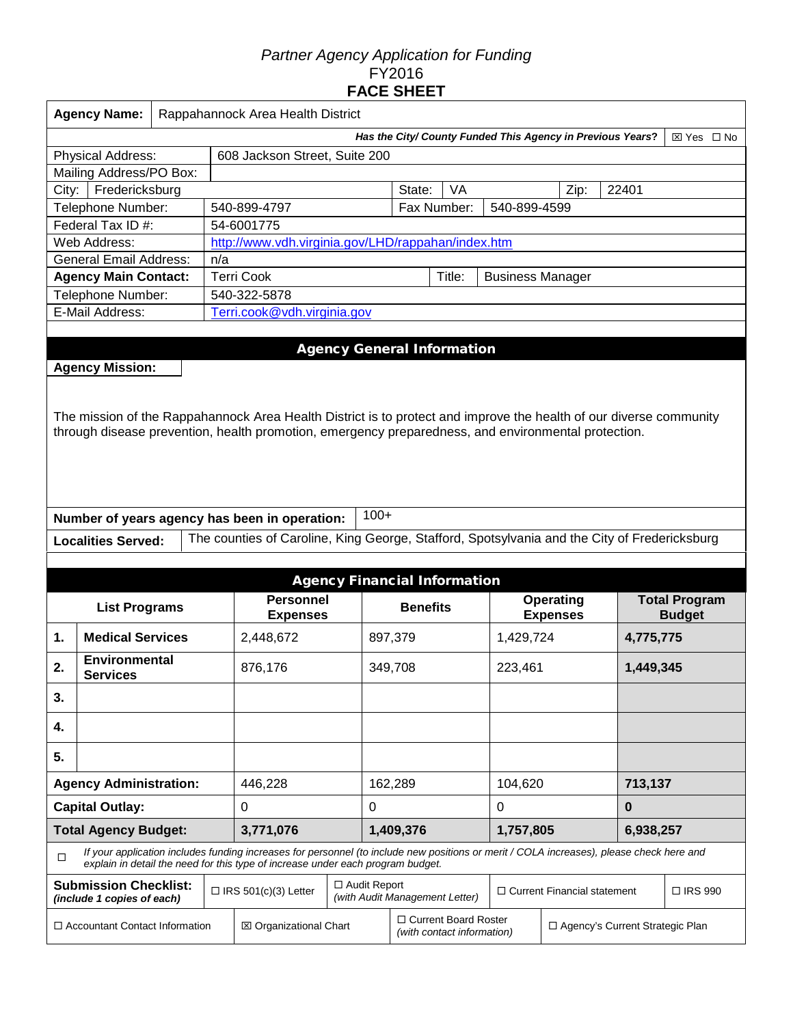## *Partner Agency Application for Funding*  FY2016 **FACE SHEET**

|                                                              | <b>Agency Name:</b>           |                                                                          | Rappahannock Area Health District |                                                                                                                                          |                                                       |                 |                                                                                           |                                    |           |                |                      |  |  |
|--------------------------------------------------------------|-------------------------------|--------------------------------------------------------------------------|-----------------------------------|------------------------------------------------------------------------------------------------------------------------------------------|-------------------------------------------------------|-----------------|-------------------------------------------------------------------------------------------|------------------------------------|-----------|----------------|----------------------|--|--|
|                                                              |                               | Has the City/ County Funded This Agency in Previous Years?<br>⊠ Yes □ No |                                   |                                                                                                                                          |                                                       |                 |                                                                                           |                                    |           |                |                      |  |  |
|                                                              | Physical Address:             |                                                                          |                                   | 608 Jackson Street, Suite 200                                                                                                            |                                                       |                 |                                                                                           |                                    |           |                |                      |  |  |
| Mailing Address/PO Box:                                      |                               |                                                                          |                                   |                                                                                                                                          |                                                       |                 |                                                                                           |                                    |           |                |                      |  |  |
| City:                                                        | Fredericksburg                |                                                                          |                                   |                                                                                                                                          |                                                       | State:          | VA                                                                                        |                                    | Zip:      | 22401          |                      |  |  |
|                                                              | Telephone Number:             |                                                                          |                                   | 540-899-4797                                                                                                                             |                                                       |                 | Fax Number:                                                                               | 540-899-4599                       |           |                |                      |  |  |
|                                                              | Federal Tax ID #:             |                                                                          |                                   | 54-6001775                                                                                                                               |                                                       |                 |                                                                                           |                                    |           |                |                      |  |  |
|                                                              | Web Address:                  |                                                                          |                                   | http://www.vdh.virginia.gov/LHD/rappahan/index.htm                                                                                       |                                                       |                 |                                                                                           |                                    |           |                |                      |  |  |
|                                                              | <b>General Email Address:</b> |                                                                          | n/a                               |                                                                                                                                          |                                                       |                 |                                                                                           |                                    |           |                |                      |  |  |
|                                                              | <b>Agency Main Contact:</b>   |                                                                          |                                   | <b>Terri Cook</b>                                                                                                                        |                                                       |                 | Title:                                                                                    | <b>Business Manager</b>            |           |                |                      |  |  |
|                                                              | Telephone Number:             |                                                                          |                                   | 540-322-5878                                                                                                                             |                                                       |                 |                                                                                           |                                    |           |                |                      |  |  |
|                                                              | E-Mail Address:               |                                                                          |                                   | Terri.cook@vdh.virginia.gov                                                                                                              |                                                       |                 |                                                                                           |                                    |           |                |                      |  |  |
|                                                              |                               |                                                                          |                                   |                                                                                                                                          |                                                       |                 |                                                                                           |                                    |           |                |                      |  |  |
|                                                              |                               |                                                                          |                                   |                                                                                                                                          | <b>Agency General Information</b>                     |                 |                                                                                           |                                    |           |                |                      |  |  |
|                                                              | <b>Agency Mission:</b>        |                                                                          |                                   |                                                                                                                                          |                                                       |                 |                                                                                           |                                    |           |                |                      |  |  |
|                                                              |                               |                                                                          |                                   |                                                                                                                                          |                                                       |                 |                                                                                           |                                    |           |                |                      |  |  |
|                                                              |                               |                                                                          |                                   |                                                                                                                                          |                                                       |                 |                                                                                           |                                    |           |                |                      |  |  |
|                                                              |                               |                                                                          |                                   | The mission of the Rappahannock Area Health District is to protect and improve the health of our diverse community                       |                                                       |                 |                                                                                           |                                    |           |                |                      |  |  |
|                                                              |                               |                                                                          |                                   | through disease prevention, health promotion, emergency preparedness, and environmental protection.                                      |                                                       |                 |                                                                                           |                                    |           |                |                      |  |  |
|                                                              |                               |                                                                          |                                   |                                                                                                                                          |                                                       |                 |                                                                                           |                                    |           |                |                      |  |  |
|                                                              |                               |                                                                          |                                   |                                                                                                                                          |                                                       |                 |                                                                                           |                                    |           |                |                      |  |  |
|                                                              |                               |                                                                          |                                   |                                                                                                                                          |                                                       |                 |                                                                                           |                                    |           |                |                      |  |  |
|                                                              |                               |                                                                          |                                   | Number of years agency has been in operation:                                                                                            | $100+$                                                |                 |                                                                                           |                                    |           |                |                      |  |  |
|                                                              |                               |                                                                          |                                   |                                                                                                                                          |                                                       |                 |                                                                                           |                                    |           |                |                      |  |  |
|                                                              | <b>Localities Served:</b>     |                                                                          |                                   | The counties of Caroline, King George, Stafford, Spotsylvania and the City of Fredericksburg                                             |                                                       |                 |                                                                                           |                                    |           |                |                      |  |  |
|                                                              |                               |                                                                          |                                   |                                                                                                                                          |                                                       |                 |                                                                                           |                                    |           |                |                      |  |  |
|                                                              |                               |                                                                          |                                   |                                                                                                                                          | <b>Agency Financial Information</b>                   |                 |                                                                                           |                                    |           |                |                      |  |  |
|                                                              | <b>List Programs</b>          |                                                                          |                                   | <b>Personnel</b>                                                                                                                         |                                                       | <b>Benefits</b> |                                                                                           |                                    | Operating |                | <b>Total Program</b> |  |  |
|                                                              |                               |                                                                          |                                   | <b>Expenses</b>                                                                                                                          |                                                       |                 |                                                                                           | <b>Expenses</b>                    |           |                | <b>Budget</b>        |  |  |
| 1.                                                           | <b>Medical Services</b>       |                                                                          |                                   | 2,448,672                                                                                                                                |                                                       | 897,379         |                                                                                           |                                    | 1,429,724 |                | 4,775,775            |  |  |
| 2.                                                           | <b>Environmental</b>          |                                                                          |                                   | 876,176                                                                                                                                  |                                                       | 349,708         |                                                                                           | 223,461                            |           |                | 1,449,345            |  |  |
|                                                              | <b>Services</b>               |                                                                          |                                   |                                                                                                                                          |                                                       |                 |                                                                                           |                                    |           |                |                      |  |  |
| 3.                                                           |                               |                                                                          |                                   |                                                                                                                                          |                                                       |                 |                                                                                           |                                    |           |                |                      |  |  |
| 4.                                                           |                               |                                                                          |                                   |                                                                                                                                          |                                                       |                 |                                                                                           |                                    |           |                |                      |  |  |
| 5.                                                           |                               |                                                                          |                                   |                                                                                                                                          |                                                       |                 |                                                                                           |                                    |           |                |                      |  |  |
|                                                              |                               |                                                                          |                                   | 446,228                                                                                                                                  |                                                       | 162,289         |                                                                                           | 104,620                            |           | 713,137        |                      |  |  |
| <b>Agency Administration:</b><br><b>Capital Outlay:</b><br>0 |                               |                                                                          |                                   |                                                                                                                                          | 0                                                     |                 |                                                                                           | 0                                  |           | $\bf{0}$       |                      |  |  |
|                                                              | <b>Total Agency Budget:</b>   |                                                                          |                                   | 3,771,076                                                                                                                                |                                                       | 1,409,376       |                                                                                           | 1,757,805                          |           | 6,938,257      |                      |  |  |
|                                                              |                               |                                                                          |                                   | If your application includes funding increases for personnel (to include new positions or merit / COLA increases), please check here and |                                                       |                 |                                                                                           |                                    |           |                |                      |  |  |
| $\Box$                                                       |                               |                                                                          |                                   | explain in detail the need for this type of increase under each program budget.                                                          |                                                       |                 |                                                                                           |                                    |           |                |                      |  |  |
| <b>Submission Checklist:</b><br>(include 1 copies of each)   |                               |                                                                          |                                   | $\Box$ IRS 501(c)(3) Letter                                                                                                              | $\Box$ Audit Report<br>(with Audit Management Letter) |                 |                                                                                           | $\Box$ Current Financial statement |           | $\Box$ IRS 990 |                      |  |  |
| $\Box$ Accountant Contact Information                        |                               |                                                                          |                                   | ⊠ Organizational Chart                                                                                                                   |                                                       |                 | □ Current Board Roster<br>□ Agency's Current Strategic Plan<br>(with contact information) |                                    |           |                |                      |  |  |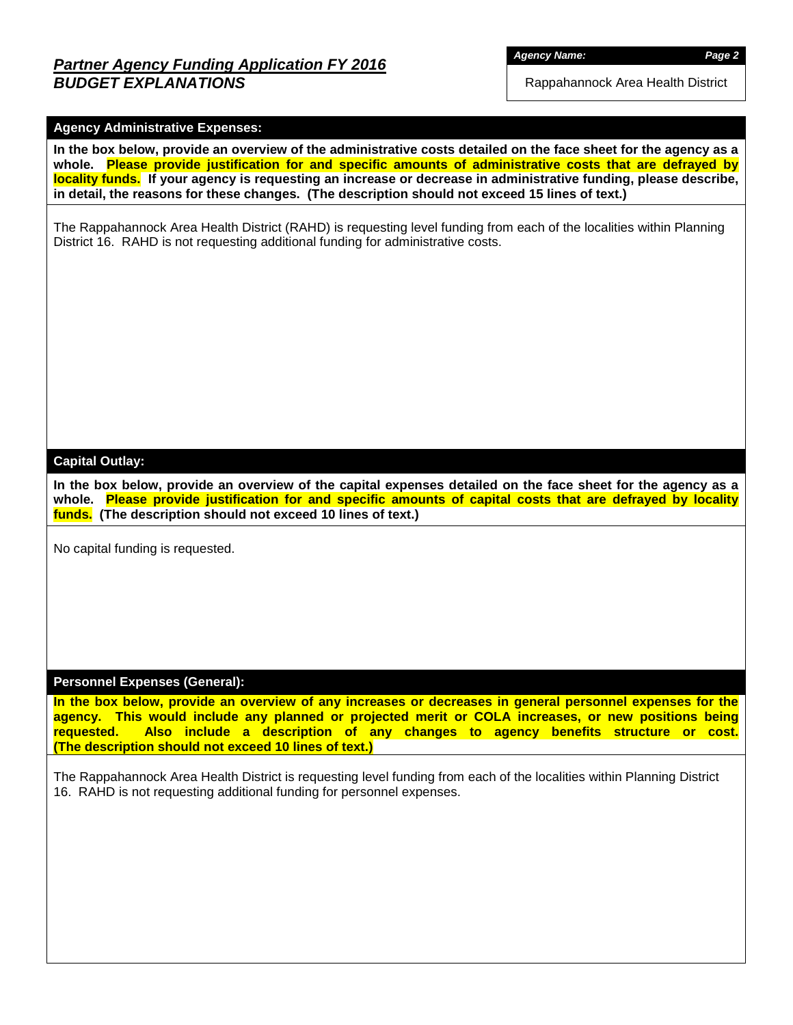## *Partner Agency Funding Application FY 2016 BUDGET EXPLANATIONS*

*Agency Name: Page 2*

Rappahannock Area Health District

#### **Agency Administrative Expenses:**

**In the box below, provide an overview of the administrative costs detailed on the face sheet for the agency as a whole. Please provide justification for and specific amounts of administrative costs that are defrayed by locality funds. If your agency is requesting an increase or decrease in administrative funding, please describe, in detail, the reasons for these changes. (The description should not exceed 15 lines of text.)**

The Rappahannock Area Health District (RAHD) is requesting level funding from each of the localities within Planning District 16. RAHD is not requesting additional funding for administrative costs.

#### **Capital Outlay:**

**In the box below, provide an overview of the capital expenses detailed on the face sheet for the agency as a whole. Please provide justification for and specific amounts of capital costs that are defrayed by locality funds. (The description should not exceed 10 lines of text.)**

No capital funding is requested.

#### **Personnel Expenses (General):**

**In the box below, provide an overview of any increases or decreases in general personnel expenses for the agency. This would include any planned or projected merit or COLA increases, or new positions being requested. Also include a description of any changes to agency benefits structure or cost. (The description should not exceed 10 lines of text.)**

The Rappahannock Area Health District is requesting level funding from each of the localities within Planning District 16. RAHD is not requesting additional funding for personnel expenses.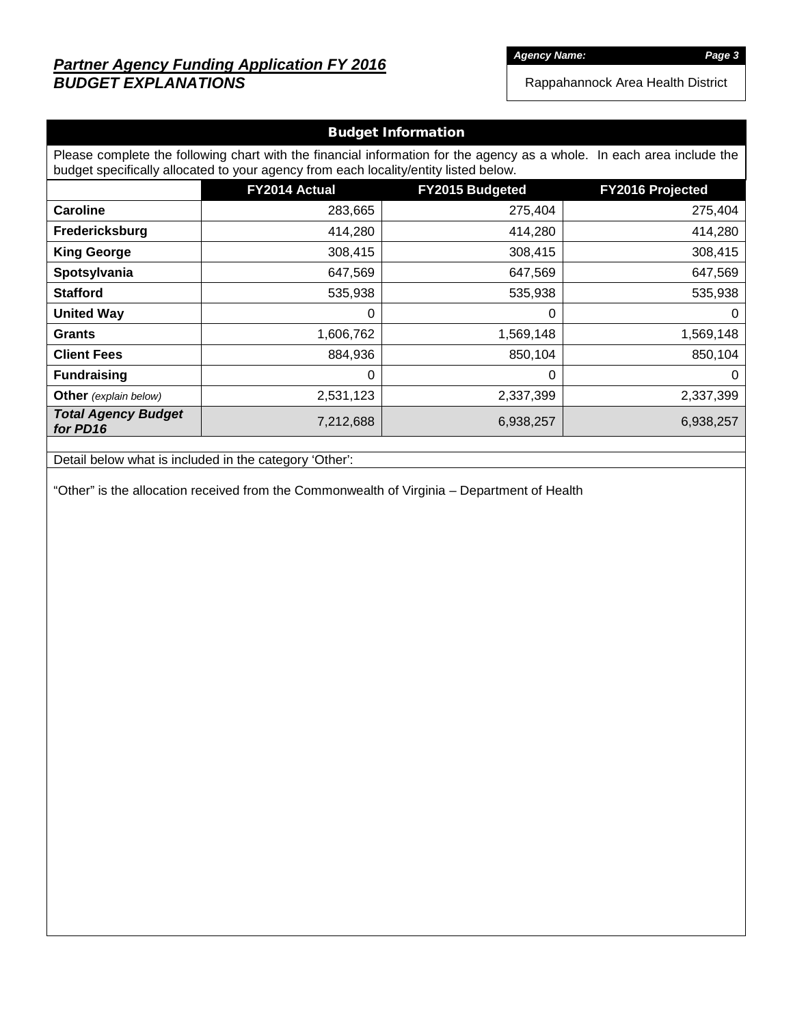# *Partner Agency Funding Application FY 2016 BUDGET EXPLANATIONS*

*Agency Name: Page 3*

Rappahannock Area Health District

| <b>Budget Information</b>                                                                                                                                                                                      |                                                             |           |           |  |  |  |  |  |  |  |
|----------------------------------------------------------------------------------------------------------------------------------------------------------------------------------------------------------------|-------------------------------------------------------------|-----------|-----------|--|--|--|--|--|--|--|
| Please complete the following chart with the financial information for the agency as a whole. In each area include the<br>budget specifically allocated to your agency from each locality/entity listed below. |                                                             |           |           |  |  |  |  |  |  |  |
|                                                                                                                                                                                                                | FY2014 Actual<br><b>FY2015 Budgeted</b><br>FY2016 Projected |           |           |  |  |  |  |  |  |  |
| <b>Caroline</b>                                                                                                                                                                                                | 283,665                                                     | 275,404   | 275,404   |  |  |  |  |  |  |  |
| Fredericksburg                                                                                                                                                                                                 | 414,280                                                     | 414,280   | 414,280   |  |  |  |  |  |  |  |
| <b>King George</b>                                                                                                                                                                                             | 308,415                                                     | 308,415   | 308,415   |  |  |  |  |  |  |  |
| Spotsylvania                                                                                                                                                                                                   | 647,569                                                     | 647,569   | 647,569   |  |  |  |  |  |  |  |
| <b>Stafford</b>                                                                                                                                                                                                | 535,938                                                     | 535,938   | 535,938   |  |  |  |  |  |  |  |
| <b>United Way</b>                                                                                                                                                                                              | $\Omega$                                                    | 0         | $\Omega$  |  |  |  |  |  |  |  |
| <b>Grants</b>                                                                                                                                                                                                  | 1,606,762                                                   | 1,569,148 | 1,569,148 |  |  |  |  |  |  |  |
| <b>Client Fees</b>                                                                                                                                                                                             | 884,936                                                     | 850,104   | 850,104   |  |  |  |  |  |  |  |
| <b>Fundraising</b>                                                                                                                                                                                             | 0                                                           | 0         | $\Omega$  |  |  |  |  |  |  |  |
| <b>Other</b> (explain below)                                                                                                                                                                                   | 2,531,123                                                   | 2,337,399 | 2,337,399 |  |  |  |  |  |  |  |
| <b>Total Agency Budget</b><br>for PD16                                                                                                                                                                         | 7,212,688                                                   | 6,938,257 | 6,938,257 |  |  |  |  |  |  |  |

Detail below what is included in the category 'Other':

"Other" is the allocation received from the Commonwealth of Virginia – Department of Health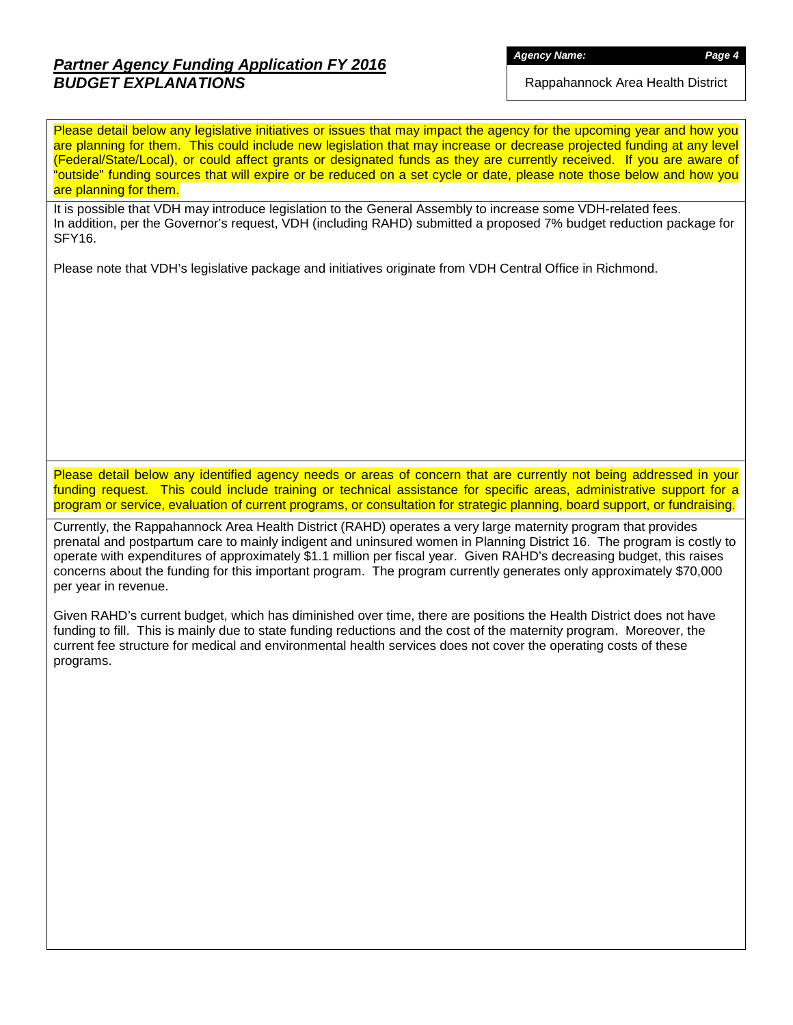# *Partner Agency Funding Application FY 2016 BUDGET EXPLANATIONS*

*Agency Name: Page 4*

Rappahannock Area Health District

Please detail below any legislative initiatives or issues that may impact the agency for the upcoming year and how you are planning for them. This could include new legislation that may increase or decrease projected funding at any level (Federal/State/Local), or could affect grants or designated funds as they are currently received. If you are aware of "outside" funding sources that will expire or be reduced on a set cycle or date, please note those below and how you are planning for them.

It is possible that VDH may introduce legislation to the General Assembly to increase some VDH-related fees. In addition, per the Governor's request, VDH (including RAHD) submitted a proposed 7% budget reduction package for SFY16.

Please note that VDH's legislative package and initiatives originate from VDH Central Office in Richmond.

Please detail below any identified agency needs or areas of concern that are currently not being addressed in your funding request. This could include training or technical assistance for specific areas, administrative support for a program or service, evaluation of current programs, or consultation for strategic planning, board support, or fundraising.

Currently, the Rappahannock Area Health District (RAHD) operates a very large maternity program that provides prenatal and postpartum care to mainly indigent and uninsured women in Planning District 16. The program is costly to operate with expenditures of approximately \$1.1 million per fiscal year. Given RAHD's decreasing budget, this raises concerns about the funding for this important program. The program currently generates only approximately \$70,000 per year in revenue.

Given RAHD's current budget, which has diminished over time, there are positions the Health District does not have funding to fill. This is mainly due to state funding reductions and the cost of the maternity program. Moreover, the current fee structure for medical and environmental health services does not cover the operating costs of these programs.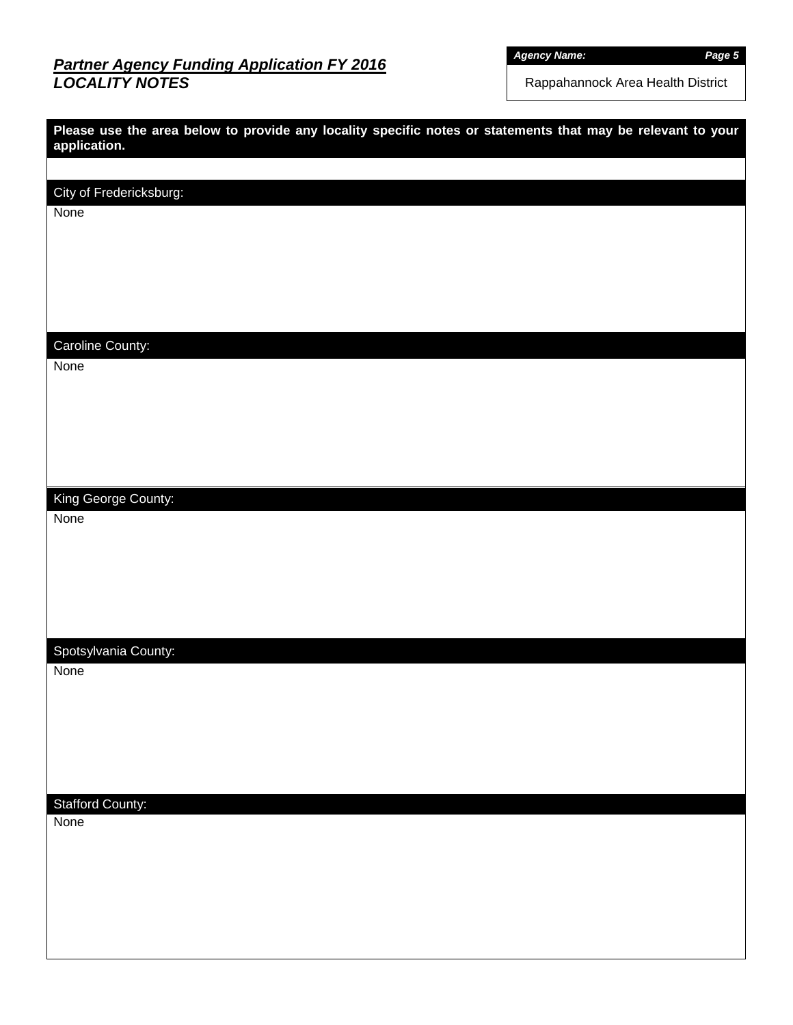# *Partner Agency Funding Application FY 2016 LOCALITY NOTES*

*Agency Name: Page 5*

Rappahannock Area Health District

| Please use the area below to provide any locality specific notes or statements that may be relevant to your<br>application. |
|-----------------------------------------------------------------------------------------------------------------------------|
|                                                                                                                             |
| City of Fredericksburg:                                                                                                     |
| None                                                                                                                        |
|                                                                                                                             |
|                                                                                                                             |
|                                                                                                                             |
| Caroline County:                                                                                                            |
| None                                                                                                                        |
|                                                                                                                             |
|                                                                                                                             |
|                                                                                                                             |
|                                                                                                                             |
| King George County:                                                                                                         |
| None                                                                                                                        |
|                                                                                                                             |
|                                                                                                                             |
|                                                                                                                             |
|                                                                                                                             |
| Spotsylvania County:<br>None                                                                                                |
|                                                                                                                             |
|                                                                                                                             |
|                                                                                                                             |
|                                                                                                                             |
| <b>Stafford County:</b>                                                                                                     |
| None                                                                                                                        |
|                                                                                                                             |
|                                                                                                                             |
|                                                                                                                             |
|                                                                                                                             |
|                                                                                                                             |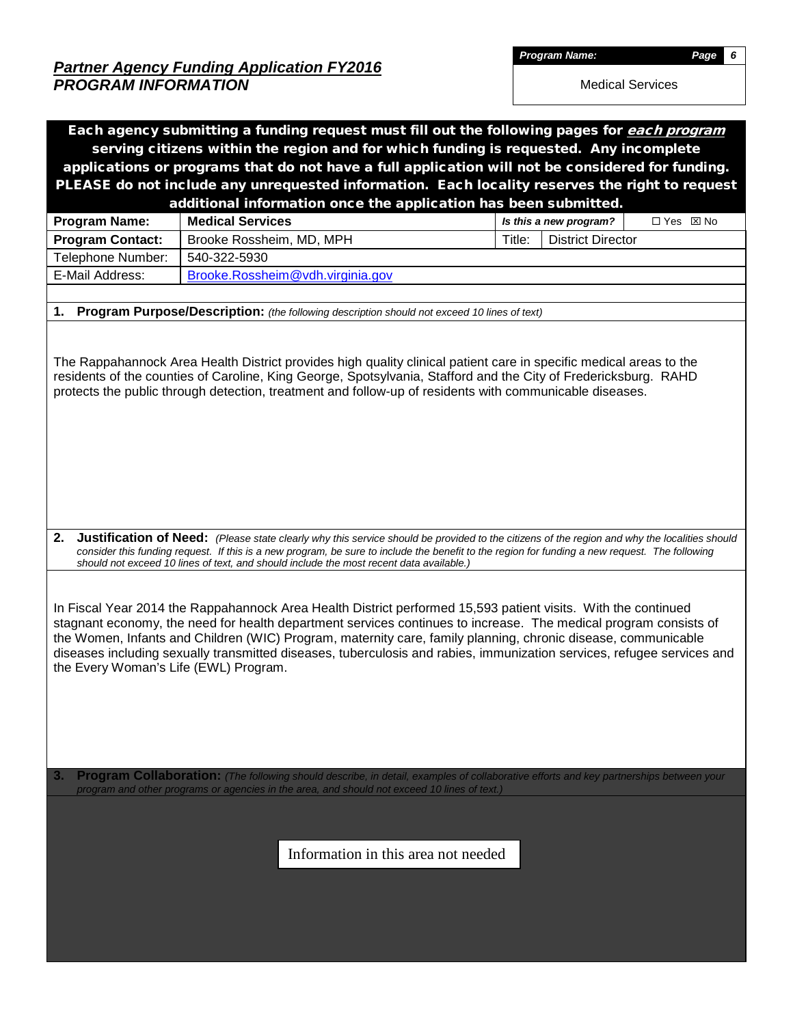*Partner Agency Funding Application FY2016 PROGRAM INFORMATION* 

*Program Name: Page 6* 

Medical Services

| Each agency submitting a funding request must fill out the following pages for each program                                                                                                                                                                                                                                                                                                                                                                                                                                                                                                                                                                                                                                                                                                                                                                                                                              |  |  |  |  |  |  |  |  |  |  |  |
|--------------------------------------------------------------------------------------------------------------------------------------------------------------------------------------------------------------------------------------------------------------------------------------------------------------------------------------------------------------------------------------------------------------------------------------------------------------------------------------------------------------------------------------------------------------------------------------------------------------------------------------------------------------------------------------------------------------------------------------------------------------------------------------------------------------------------------------------------------------------------------------------------------------------------|--|--|--|--|--|--|--|--|--|--|--|
| serving citizens within the region and for which funding is requested. Any incomplete                                                                                                                                                                                                                                                                                                                                                                                                                                                                                                                                                                                                                                                                                                                                                                                                                                    |  |  |  |  |  |  |  |  |  |  |  |
| applications or programs that do not have a full application will not be considered for funding.                                                                                                                                                                                                                                                                                                                                                                                                                                                                                                                                                                                                                                                                                                                                                                                                                         |  |  |  |  |  |  |  |  |  |  |  |
| PLEASE do not include any unrequested information. Each locality reserves the right to request                                                                                                                                                                                                                                                                                                                                                                                                                                                                                                                                                                                                                                                                                                                                                                                                                           |  |  |  |  |  |  |  |  |  |  |  |
| additional information once the application has been submitted.                                                                                                                                                                                                                                                                                                                                                                                                                                                                                                                                                                                                                                                                                                                                                                                                                                                          |  |  |  |  |  |  |  |  |  |  |  |
| Is this a new program?<br>□ Yes ⊠ No                                                                                                                                                                                                                                                                                                                                                                                                                                                                                                                                                                                                                                                                                                                                                                                                                                                                                     |  |  |  |  |  |  |  |  |  |  |  |
| <b>District Director</b>                                                                                                                                                                                                                                                                                                                                                                                                                                                                                                                                                                                                                                                                                                                                                                                                                                                                                                 |  |  |  |  |  |  |  |  |  |  |  |
|                                                                                                                                                                                                                                                                                                                                                                                                                                                                                                                                                                                                                                                                                                                                                                                                                                                                                                                          |  |  |  |  |  |  |  |  |  |  |  |
| Telephone Number:<br>540-322-5930<br>E-Mail Address:<br>Brooke.Rossheim@vdh.virginia.gov                                                                                                                                                                                                                                                                                                                                                                                                                                                                                                                                                                                                                                                                                                                                                                                                                                 |  |  |  |  |  |  |  |  |  |  |  |
|                                                                                                                                                                                                                                                                                                                                                                                                                                                                                                                                                                                                                                                                                                                                                                                                                                                                                                                          |  |  |  |  |  |  |  |  |  |  |  |
| Program Purpose/Description: (the following description should not exceed 10 lines of text)<br>1.                                                                                                                                                                                                                                                                                                                                                                                                                                                                                                                                                                                                                                                                                                                                                                                                                        |  |  |  |  |  |  |  |  |  |  |  |
|                                                                                                                                                                                                                                                                                                                                                                                                                                                                                                                                                                                                                                                                                                                                                                                                                                                                                                                          |  |  |  |  |  |  |  |  |  |  |  |
| The Rappahannock Area Health District provides high quality clinical patient care in specific medical areas to the<br>residents of the counties of Caroline, King George, Spotsylvania, Stafford and the City of Fredericksburg. RAHD<br>protects the public through detection, treatment and follow-up of residents with communicable diseases.                                                                                                                                                                                                                                                                                                                                                                                                                                                                                                                                                                         |  |  |  |  |  |  |  |  |  |  |  |
| Justification of Need: (Please state clearly why this service should be provided to the citizens of the region and why the localities should<br>2.<br>consider this funding request. If this is a new program, be sure to include the benefit to the region for funding a new request. The following<br>should not exceed 10 lines of text, and should include the most recent data available.)<br>In Fiscal Year 2014 the Rappahannock Area Health District performed 15,593 patient visits. With the continued<br>stagnant economy, the need for health department services continues to increase. The medical program consists of<br>the Women, Infants and Children (WIC) Program, maternity care, family planning, chronic disease, communicable<br>diseases including sexually transmitted diseases, tuberculosis and rabies, immunization services, refugee services and<br>the Every Woman's Life (EWL) Program. |  |  |  |  |  |  |  |  |  |  |  |
| Program Collaboration: (The following should describe, in detail, examples of collaborative efforts and key partnerships between your                                                                                                                                                                                                                                                                                                                                                                                                                                                                                                                                                                                                                                                                                                                                                                                    |  |  |  |  |  |  |  |  |  |  |  |
|                                                                                                                                                                                                                                                                                                                                                                                                                                                                                                                                                                                                                                                                                                                                                                                                                                                                                                                          |  |  |  |  |  |  |  |  |  |  |  |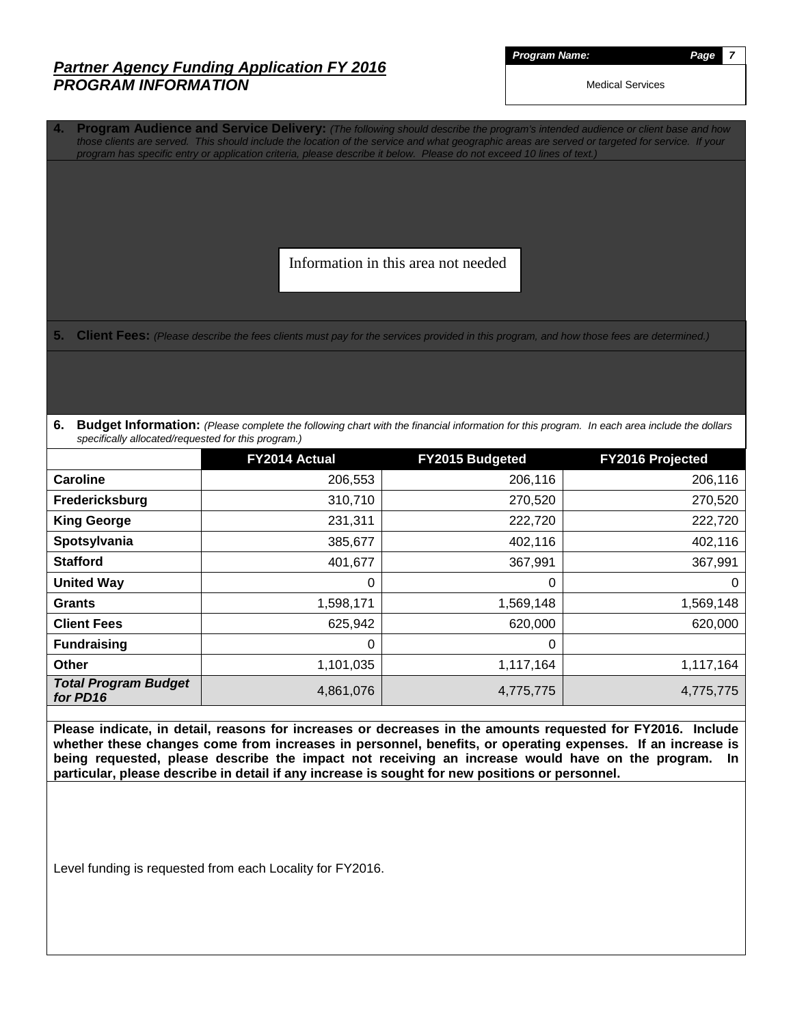#### *Partner Agency Funding Application FY 2016 PROGRAM INFORMATION*

*Program Name: Page 7* 

Medical Services

**4. Program Audience and Service Delivery:** *(The following should describe the program's intended audience or client base and how those clients are served. This should include the location of the service and what geographic areas are served or targeted for service. If your program has specific entry or application criteria, please describe it below. Please do not exceed 10 lines of text.)*

Information in this area not needed

**5. Client Fees:** *(Please describe the fees clients must pay for the services provided in this program, and how those fees are determined.)*

**6. Budget Information:** *(Please complete the following chart with the financial information for this program. In each area include the dollars specifically allocated/requested for this program.)*

|                                         | FY2014 Actual | FY2015 Budgeted | FY2016 Projected |
|-----------------------------------------|---------------|-----------------|------------------|
| Caroline                                | 206,553       | 206,116         | 206,116          |
| Fredericksburg                          | 310,710       | 270,520         | 270,520          |
| <b>King George</b>                      | 231,311       | 222,720         | 222,720          |
| Spotsylvania                            | 385,677       | 402,116         | 402,116          |
| <b>Stafford</b>                         | 401,677       | 367,991         | 367,991          |
| <b>United Way</b>                       | 0             | 0               | $\overline{0}$   |
| <b>Grants</b>                           | 1,598,171     | 1,569,148       | 1,569,148        |
| <b>Client Fees</b>                      | 625,942       | 620,000         | 620,000          |
| <b>Fundraising</b>                      | $\Omega$      | $\mathbf{0}$    |                  |
| <b>Other</b>                            | 1,101,035     | 1,117,164       | 1,117,164        |
| <b>Total Program Budget</b><br>for PD16 | 4,861,076     | 4,775,775       | 4,775,775        |

**Please indicate, in detail, reasons for increases or decreases in the amounts requested for FY2016. Include whether these changes come from increases in personnel, benefits, or operating expenses. If an increase is being requested, please describe the impact not receiving an increase would have on the program. In particular, please describe in detail if any increase is sought for new positions or personnel.**

Level funding is requested from each Locality for FY2016.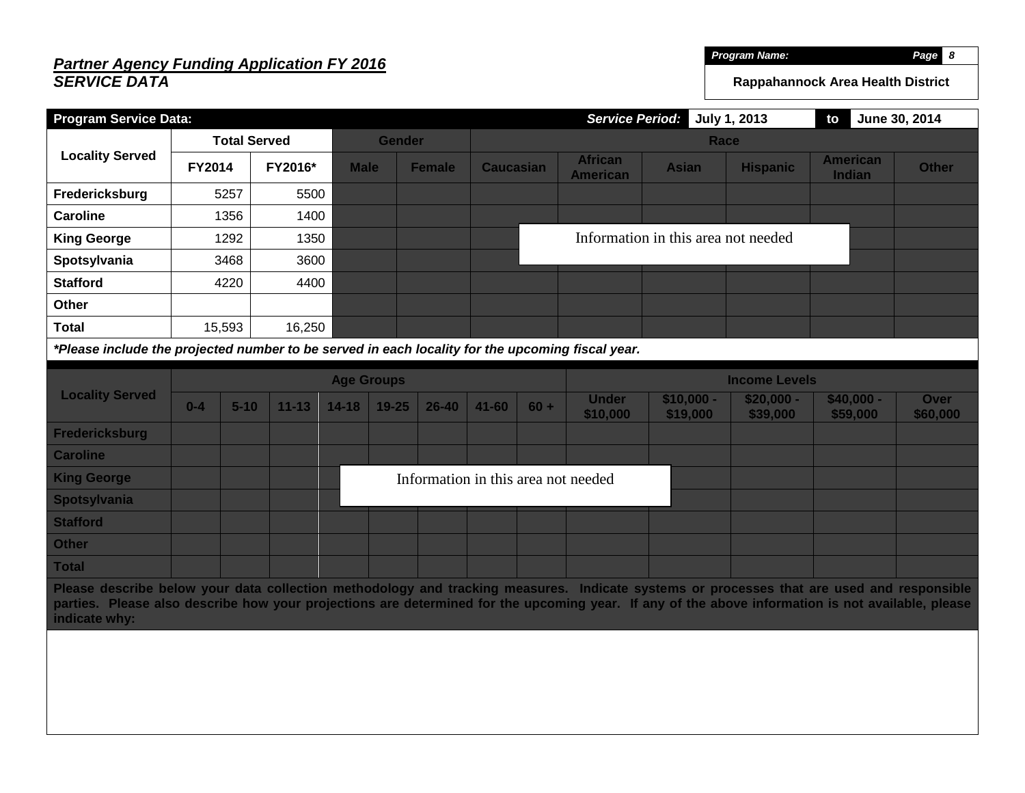# *Partner Agency Funding Application FY 2016 SERVICE DATA*

*Program Name: Page 8* 

**Rappahannock Area Health District**

| <b>Program Service Data:</b>                                                                                                                                                                                                                                                                                    |        |                     |           |                                     |               |               |                  |              | <b>Service Period:</b>            |                                     | July 1, 2013    | to                        | June 30, 2014 |
|-----------------------------------------------------------------------------------------------------------------------------------------------------------------------------------------------------------------------------------------------------------------------------------------------------------------|--------|---------------------|-----------|-------------------------------------|---------------|---------------|------------------|--------------|-----------------------------------|-------------------------------------|-----------------|---------------------------|---------------|
|                                                                                                                                                                                                                                                                                                                 |        | <b>Total Served</b> |           |                                     | <b>Gender</b> |               | <b>Race</b>      |              |                                   |                                     |                 |                           |               |
| <b>Locality Served</b>                                                                                                                                                                                                                                                                                          | FY2014 |                     | FY2016*   | <b>Male</b>                         |               | <b>Female</b> | <b>Caucasian</b> |              | <b>African</b><br><b>American</b> | <b>Asian</b>                        | <b>Hispanic</b> | <b>American</b><br>Indian | <b>Other</b>  |
| Fredericksburg                                                                                                                                                                                                                                                                                                  |        | 5257                | 5500      |                                     |               |               |                  |              |                                   |                                     |                 |                           |               |
| <b>Caroline</b>                                                                                                                                                                                                                                                                                                 |        | 1356                | 1400      |                                     |               |               |                  |              |                                   |                                     |                 |                           |               |
| <b>King George</b>                                                                                                                                                                                                                                                                                              |        | 1292                | 1350      |                                     |               |               |                  |              |                                   | Information in this area not needed |                 |                           |               |
| Spotsylvania                                                                                                                                                                                                                                                                                                    |        | 3468                | 3600      |                                     |               |               |                  |              |                                   |                                     |                 |                           |               |
| <b>Stafford</b>                                                                                                                                                                                                                                                                                                 |        | 4220                | 4400      |                                     |               |               |                  |              |                                   |                                     |                 |                           |               |
| Other                                                                                                                                                                                                                                                                                                           |        |                     |           |                                     |               |               |                  |              |                                   |                                     |                 |                           |               |
| <b>Total</b>                                                                                                                                                                                                                                                                                                    |        | 15,593              | 16,250    |                                     |               |               |                  |              |                                   |                                     |                 |                           |               |
| *Please include the projected number to be served in each locality for the upcoming fiscal year.                                                                                                                                                                                                                |        |                     |           |                                     |               |               |                  |              |                                   |                                     |                 |                           |               |
|                                                                                                                                                                                                                                                                                                                 |        |                     |           | <b>Age Groups</b>                   |               |               |                  |              | <b>Income Levels</b>              |                                     |                 |                           |               |
| <b>Locality Served</b>                                                                                                                                                                                                                                                                                          |        |                     |           |                                     |               |               |                  | <b>Under</b> | $$10,000 -$                       | $$20,000 -$                         | $$40,000 -$     | Over                      |               |
|                                                                                                                                                                                                                                                                                                                 | $0-4$  | $5 - 10$            | $11 - 13$ | $14 - 18$                           | $19 - 25$     | $26 - 40$     | $41 - 60$        | $60 +$       | \$10,000                          | \$19,000                            | \$39,000        | \$59,000                  | \$60,000      |
| <b>Fredericksburg</b>                                                                                                                                                                                                                                                                                           |        |                     |           |                                     |               |               |                  |              |                                   |                                     |                 |                           |               |
| <b>Caroline</b>                                                                                                                                                                                                                                                                                                 |        |                     |           |                                     |               |               |                  |              |                                   |                                     |                 |                           |               |
| <b>King George</b>                                                                                                                                                                                                                                                                                              |        |                     |           | Information in this area not needed |               |               |                  |              |                                   |                                     |                 |                           |               |
| <b>Spotsylvania</b>                                                                                                                                                                                                                                                                                             |        |                     |           |                                     |               |               |                  |              |                                   |                                     |                 |                           |               |
| <b>Stafford</b>                                                                                                                                                                                                                                                                                                 |        |                     |           |                                     |               |               |                  |              |                                   |                                     |                 |                           |               |
| <b>Other</b>                                                                                                                                                                                                                                                                                                    |        |                     |           |                                     |               |               |                  |              |                                   |                                     |                 |                           |               |
| <b>Total</b>                                                                                                                                                                                                                                                                                                    |        |                     |           |                                     |               |               |                  |              |                                   |                                     |                 |                           |               |
| Please describe below your data collection methodology and tracking measures. Indicate systems or processes that are used and responsible<br>parties. Please also describe how your projections are determined for the upcoming year. If any of the above information is not available, please<br>indicate why: |        |                     |           |                                     |               |               |                  |              |                                   |                                     |                 |                           |               |
|                                                                                                                                                                                                                                                                                                                 |        |                     |           |                                     |               |               |                  |              |                                   |                                     |                 |                           |               |
|                                                                                                                                                                                                                                                                                                                 |        |                     |           |                                     |               |               |                  |              |                                   |                                     |                 |                           |               |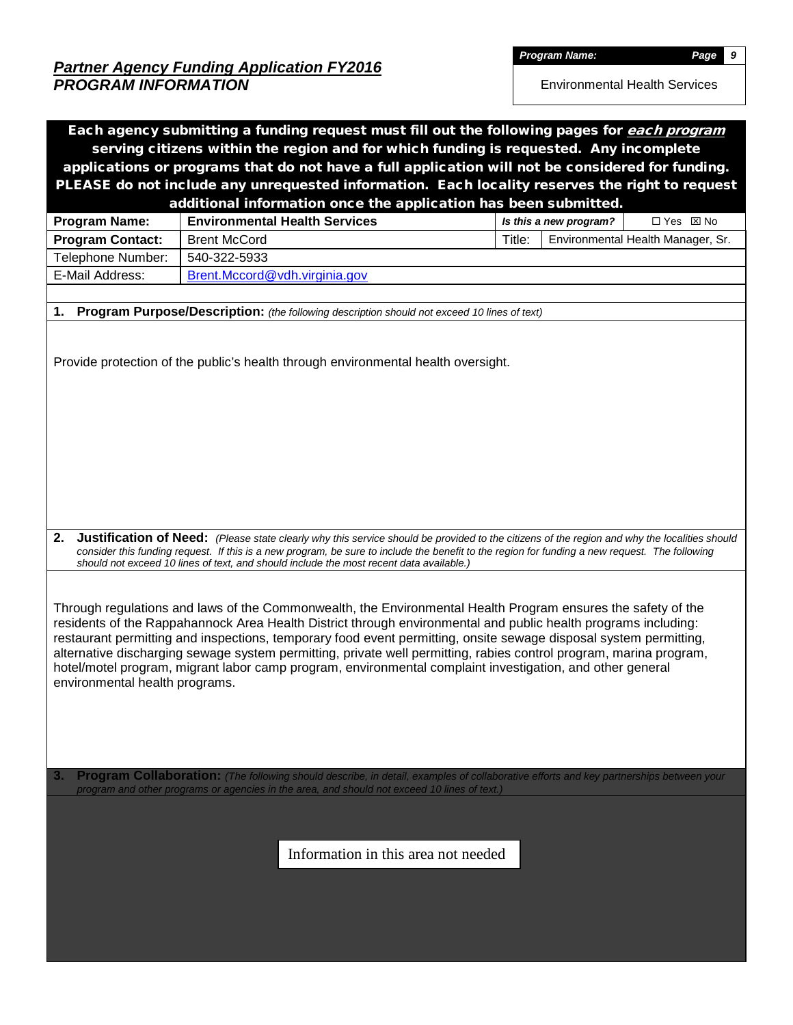*Partner Agency Funding Application FY2016 PROGRAM INFORMATION* 

*Program Name: Page 9* 

Environmental Health Services

| Each agency submitting a funding request must fill out the following pages for each program                                                                                                                                                                                                                                                                                                                                                                                                                                                                                                                                                                                                                         |                                                                                                                                                                                                                                                                                                |                                     |  |        |                        |                                   |  |  |  |  |  |
|---------------------------------------------------------------------------------------------------------------------------------------------------------------------------------------------------------------------------------------------------------------------------------------------------------------------------------------------------------------------------------------------------------------------------------------------------------------------------------------------------------------------------------------------------------------------------------------------------------------------------------------------------------------------------------------------------------------------|------------------------------------------------------------------------------------------------------------------------------------------------------------------------------------------------------------------------------------------------------------------------------------------------|-------------------------------------|--|--------|------------------------|-----------------------------------|--|--|--|--|--|
| serving citizens within the region and for which funding is requested. Any incomplete<br>applications or programs that do not have a full application will not be considered for funding.                                                                                                                                                                                                                                                                                                                                                                                                                                                                                                                           |                                                                                                                                                                                                                                                                                                |                                     |  |        |                        |                                   |  |  |  |  |  |
|                                                                                                                                                                                                                                                                                                                                                                                                                                                                                                                                                                                                                                                                                                                     |                                                                                                                                                                                                                                                                                                |                                     |  |        |                        |                                   |  |  |  |  |  |
|                                                                                                                                                                                                                                                                                                                                                                                                                                                                                                                                                                                                                                                                                                                     | PLEASE do not include any unrequested information. Each locality reserves the right to request                                                                                                                                                                                                 |                                     |  |        |                        |                                   |  |  |  |  |  |
|                                                                                                                                                                                                                                                                                                                                                                                                                                                                                                                                                                                                                                                                                                                     | additional information once the application has been submitted.                                                                                                                                                                                                                                |                                     |  |        |                        |                                   |  |  |  |  |  |
| <b>Program Name:</b>                                                                                                                                                                                                                                                                                                                                                                                                                                                                                                                                                                                                                                                                                                | <b>Environmental Health Services</b>                                                                                                                                                                                                                                                           |                                     |  |        | Is this a new program? | □ Yes ⊠ No                        |  |  |  |  |  |
| <b>Program Contact:</b>                                                                                                                                                                                                                                                                                                                                                                                                                                                                                                                                                                                                                                                                                             | <b>Brent McCord</b>                                                                                                                                                                                                                                                                            |                                     |  | Title: |                        | Environmental Health Manager, Sr. |  |  |  |  |  |
| Telephone Number:                                                                                                                                                                                                                                                                                                                                                                                                                                                                                                                                                                                                                                                                                                   | 540-322-5933                                                                                                                                                                                                                                                                                   |                                     |  |        |                        |                                   |  |  |  |  |  |
| E-Mail Address:                                                                                                                                                                                                                                                                                                                                                                                                                                                                                                                                                                                                                                                                                                     | Brent.Mccord@vdh.virginia.gov                                                                                                                                                                                                                                                                  |                                     |  |        |                        |                                   |  |  |  |  |  |
|                                                                                                                                                                                                                                                                                                                                                                                                                                                                                                                                                                                                                                                                                                                     |                                                                                                                                                                                                                                                                                                |                                     |  |        |                        |                                   |  |  |  |  |  |
| 1.<br>Program Purpose/Description: (the following description should not exceed 10 lines of text)                                                                                                                                                                                                                                                                                                                                                                                                                                                                                                                                                                                                                   |                                                                                                                                                                                                                                                                                                |                                     |  |        |                        |                                   |  |  |  |  |  |
|                                                                                                                                                                                                                                                                                                                                                                                                                                                                                                                                                                                                                                                                                                                     | Provide protection of the public's health through environmental health oversight.                                                                                                                                                                                                              |                                     |  |        |                        |                                   |  |  |  |  |  |
| 2.                                                                                                                                                                                                                                                                                                                                                                                                                                                                                                                                                                                                                                                                                                                  | Justification of Need: (Please state clearly why this service should be provided to the citizens of the region and why the localities should<br>consider this funding request. If this is a new program, be sure to include the benefit to the region for funding a new request. The following |                                     |  |        |                        |                                   |  |  |  |  |  |
| should not exceed 10 lines of text, and should include the most recent data available.)<br>Through regulations and laws of the Commonwealth, the Environmental Health Program ensures the safety of the<br>residents of the Rappahannock Area Health District through environmental and public health programs including:<br>restaurant permitting and inspections, temporary food event permitting, onsite sewage disposal system permitting,<br>alternative discharging sewage system permitting, private well permitting, rabies control program, marina program,<br>hotel/motel program, migrant labor camp program, environmental complaint investigation, and other general<br>environmental health programs. |                                                                                                                                                                                                                                                                                                |                                     |  |        |                        |                                   |  |  |  |  |  |
| 3.                                                                                                                                                                                                                                                                                                                                                                                                                                                                                                                                                                                                                                                                                                                  | Program Collaboration: (The following should describe, in detail, examples of collaborative efforts and key partnerships between your<br>program and other programs or agencies in the area, and should not exceed 10 lines of text.)                                                          |                                     |  |        |                        |                                   |  |  |  |  |  |
|                                                                                                                                                                                                                                                                                                                                                                                                                                                                                                                                                                                                                                                                                                                     |                                                                                                                                                                                                                                                                                                | Information in this area not needed |  |        |                        |                                   |  |  |  |  |  |
|                                                                                                                                                                                                                                                                                                                                                                                                                                                                                                                                                                                                                                                                                                                     |                                                                                                                                                                                                                                                                                                |                                     |  |        |                        |                                   |  |  |  |  |  |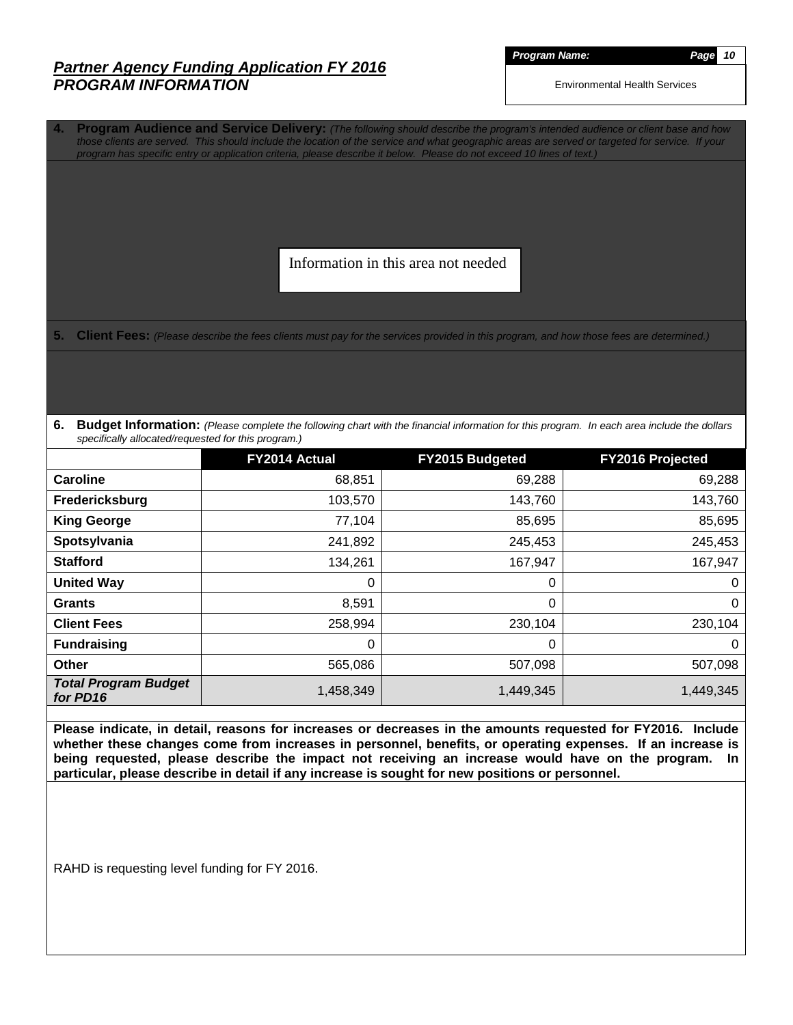#### *Partner Agency Funding Application FY 2016 PROGRAM INFORMATION*

*Program Name: Page 10*

Environmental Health Services

**4. Program Audience and Service Delivery:** *(The following should describe the program's intended audience or client base and how those clients are served. This should include the location of the service and what geographic areas are served or targeted for service. If your program has specific entry or application criteria, please describe it below. Please do not exceed 10 lines of text.)*

Information in this area not needed

**5.** Client Fees: (Please describe the fees clients must pay for the services provided in this program, and how those fees are determined.)

**6. Budget Information:** *(Please complete the following chart with the financial information for this program. In each area include the dollars specifically allocated/requested for this program.)*

|                                         | FY2014 Actual | <b>FY2015 Budgeted</b> | <b>FY2016 Projected</b> |
|-----------------------------------------|---------------|------------------------|-------------------------|
| Caroline                                | 68,851        | 69,288                 | 69,288                  |
| Fredericksburg                          | 103,570       | 143,760                | 143,760                 |
| <b>King George</b>                      | 77,104        | 85,695                 | 85,695                  |
| Spotsylvania                            | 241,892       | 245,453                | 245,453                 |
| <b>Stafford</b>                         | 134,261       | 167,947                | 167,947                 |
| <b>United Way</b>                       | 0             | 0                      | $\overline{0}$          |
| <b>Grants</b>                           | 8,591         | 0                      | $\overline{0}$          |
| <b>Client Fees</b>                      | 258,994       | 230,104                | 230,104                 |
| <b>Fundraising</b>                      | 0             | 0                      | $\mathbf 0$             |
| Other                                   | 565,086       | 507,098                | 507,098                 |
| <b>Total Program Budget</b><br>for PD16 | 1,458,349     | 1,449,345              | 1,449,345               |

**Please indicate, in detail, reasons for increases or decreases in the amounts requested for FY2016. Include whether these changes come from increases in personnel, benefits, or operating expenses. If an increase is being requested, please describe the impact not receiving an increase would have on the program. In particular, please describe in detail if any increase is sought for new positions or personnel.**

RAHD is requesting level funding for FY 2016.